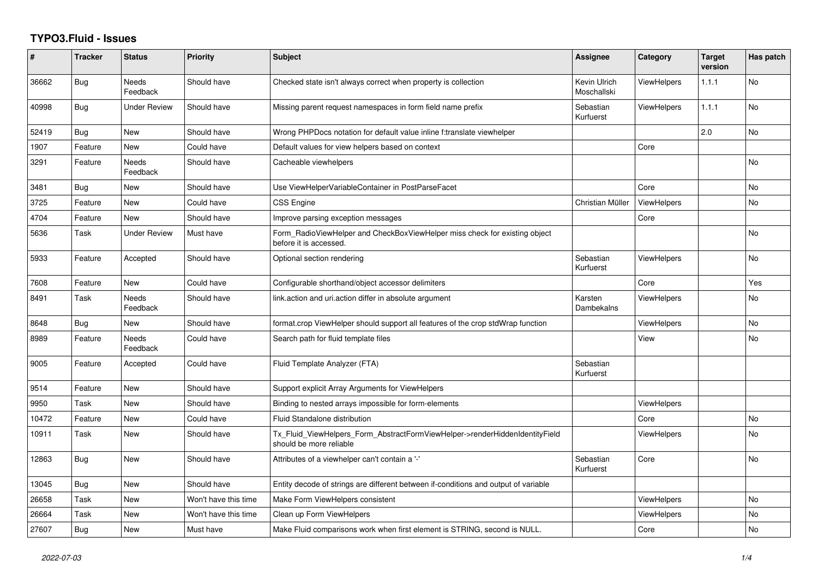## **TYPO3.Fluid - Issues**

| ∦     | <b>Tracker</b> | <b>Status</b>            | <b>Priority</b>      | <b>Subject</b>                                                                                         | <b>Assignee</b>             | Category           | <b>Target</b><br>version | Has patch |
|-------|----------------|--------------------------|----------------------|--------------------------------------------------------------------------------------------------------|-----------------------------|--------------------|--------------------------|-----------|
| 36662 | <b>Bug</b>     | <b>Needs</b><br>Feedback | Should have          | Checked state isn't always correct when property is collection                                         | Kevin Ulrich<br>Moschallski | <b>ViewHelpers</b> | 1.1.1                    | <b>No</b> |
| 40998 | <b>Bug</b>     | <b>Under Review</b>      | Should have          | Missing parent request namespaces in form field name prefix                                            | Sebastian<br>Kurfuerst      | <b>ViewHelpers</b> | 1.1.1                    | <b>No</b> |
| 52419 | <b>Bug</b>     | New                      | Should have          | Wrong PHPDocs notation for default value inline f:translate viewhelper                                 |                             |                    | 2.0                      | No        |
| 1907  | Feature        | New                      | Could have           | Default values for view helpers based on context                                                       |                             | Core               |                          |           |
| 3291  | Feature        | Needs<br>Feedback        | Should have          | Cacheable viewhelpers                                                                                  |                             |                    |                          | <b>No</b> |
| 3481  | Bug            | New                      | Should have          | Use ViewHelperVariableContainer in PostParseFacet                                                      |                             | Core               |                          | <b>No</b> |
| 3725  | Feature        | <b>New</b>               | Could have           | <b>CSS Engine</b>                                                                                      | Christian Müller            | ViewHelpers        |                          | <b>No</b> |
| 4704  | Feature        | New                      | Should have          | Improve parsing exception messages                                                                     |                             | Core               |                          |           |
| 5636  | Task           | <b>Under Review</b>      | Must have            | Form RadioViewHelper and CheckBoxViewHelper miss check for existing object<br>before it is accessed.   |                             |                    |                          | No        |
| 5933  | Feature        | Accepted                 | Should have          | Optional section rendering                                                                             | Sebastian<br>Kurfuerst      | <b>ViewHelpers</b> |                          | <b>No</b> |
| 7608  | Feature        | New                      | Could have           | Configurable shorthand/object accessor delimiters                                                      |                             | Core               |                          | Yes       |
| 8491  | Task           | <b>Needs</b><br>Feedback | Should have          | link.action and uri.action differ in absolute argument                                                 | Karsten<br>Dambekalns       | <b>ViewHelpers</b> |                          | <b>No</b> |
| 8648  | Bug            | New                      | Should have          | format.crop ViewHelper should support all features of the crop stdWrap function                        |                             | <b>ViewHelpers</b> |                          | <b>No</b> |
| 8989  | Feature        | Needs<br>Feedback        | Could have           | Search path for fluid template files                                                                   |                             | View               |                          | No.       |
| 9005  | Feature        | Accepted                 | Could have           | Fluid Template Analyzer (FTA)                                                                          | Sebastian<br>Kurfuerst      |                    |                          |           |
| 9514  | Feature        | New                      | Should have          | Support explicit Array Arguments for ViewHelpers                                                       |                             |                    |                          |           |
| 9950  | Task           | New                      | Should have          | Binding to nested arrays impossible for form-elements                                                  |                             | <b>ViewHelpers</b> |                          |           |
| 10472 | Feature        | <b>New</b>               | Could have           | Fluid Standalone distribution                                                                          |                             | Core               |                          | <b>No</b> |
| 10911 | Task           | New                      | Should have          | Tx_Fluid_ViewHelpers_Form_AbstractFormViewHelper->renderHiddenIdentityField<br>should be more reliable |                             | <b>ViewHelpers</b> |                          | <b>No</b> |
| 12863 | Bug            | New                      | Should have          | Attributes of a viewhelper can't contain a '-'                                                         | Sebastian<br>Kurfuerst      | Core               |                          | <b>No</b> |
| 13045 | <b>Bug</b>     | <b>New</b>               | Should have          | Entity decode of strings are different between if-conditions and output of variable                    |                             |                    |                          |           |
| 26658 | Task           | New                      | Won't have this time | Make Form ViewHelpers consistent                                                                       |                             | <b>ViewHelpers</b> |                          | No        |
| 26664 | Task           | <b>New</b>               | Won't have this time | Clean up Form ViewHelpers                                                                              |                             | <b>ViewHelpers</b> |                          | No        |
| 27607 | Bug            | New                      | Must have            | Make Fluid comparisons work when first element is STRING, second is NULL.                              |                             | Core               |                          | <b>No</b> |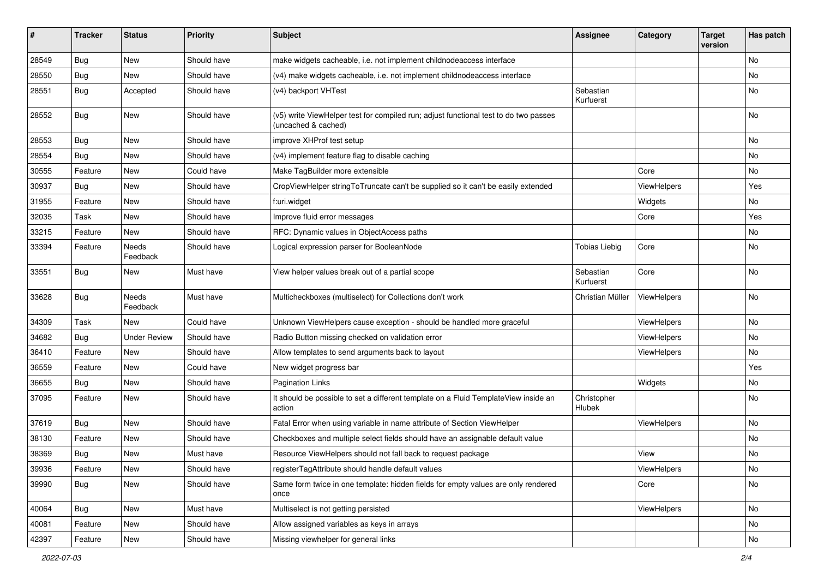| #     | <b>Tracker</b> | <b>Status</b>            | <b>Priority</b> | Subject                                                                                                     | <b>Assignee</b>        | Category    | <b>Target</b><br>version | Has patch |
|-------|----------------|--------------------------|-----------------|-------------------------------------------------------------------------------------------------------------|------------------------|-------------|--------------------------|-----------|
| 28549 | Bug            | New                      | Should have     | make widgets cacheable, i.e. not implement childnodeaccess interface                                        |                        |             |                          | <b>No</b> |
| 28550 | Bug            | New                      | Should have     | (v4) make widgets cacheable, i.e. not implement childnodeaccess interface                                   |                        |             |                          | No        |
| 28551 | Bug            | Accepted                 | Should have     | (v4) backport VHTest                                                                                        | Sebastian<br>Kurfuerst |             |                          | No        |
| 28552 | Bug            | <b>New</b>               | Should have     | (v5) write ViewHelper test for compiled run; adjust functional test to do two passes<br>(uncached & cached) |                        |             |                          | <b>No</b> |
| 28553 | Bug            | <b>New</b>               | Should have     | improve XHProf test setup                                                                                   |                        |             |                          | No        |
| 28554 | Bug            | <b>New</b>               | Should have     | (v4) implement feature flag to disable caching                                                              |                        |             |                          | No        |
| 30555 | Feature        | <b>New</b>               | Could have      | Make TagBuilder more extensible                                                                             |                        | Core        |                          | No        |
| 30937 | Bug            | New                      | Should have     | CropViewHelper stringToTruncate can't be supplied so it can't be easily extended                            |                        | ViewHelpers |                          | Yes       |
| 31955 | Feature        | New                      | Should have     | f:uri.widget                                                                                                |                        | Widgets     |                          | No        |
| 32035 | Task           | <b>New</b>               | Should have     | Improve fluid error messages                                                                                |                        | Core        |                          | Yes       |
| 33215 | Feature        | <b>New</b>               | Should have     | RFC: Dynamic values in ObjectAccess paths                                                                   |                        |             |                          | No        |
| 33394 | Feature        | <b>Needs</b><br>Feedback | Should have     | Logical expression parser for BooleanNode                                                                   | <b>Tobias Liebig</b>   | Core        |                          | <b>No</b> |
| 33551 | Bug            | New                      | Must have       | View helper values break out of a partial scope                                                             | Sebastian<br>Kurfuerst | Core        |                          | <b>No</b> |
| 33628 | Bug            | Needs<br>Feedback        | Must have       | Multicheckboxes (multiselect) for Collections don't work                                                    | Christian Müller       | ViewHelpers |                          | <b>No</b> |
| 34309 | Task           | New                      | Could have      | Unknown ViewHelpers cause exception - should be handled more graceful                                       |                        | ViewHelpers |                          | <b>No</b> |
| 34682 | Bug            | <b>Under Review</b>      | Should have     | Radio Button missing checked on validation error                                                            |                        | ViewHelpers |                          | No        |
| 36410 | Feature        | <b>New</b>               | Should have     | Allow templates to send arguments back to layout                                                            |                        | ViewHelpers |                          | No        |
| 36559 | Feature        | New                      | Could have      | New widget progress bar                                                                                     |                        |             |                          | Yes       |
| 36655 | Bug            | New                      | Should have     | <b>Pagination Links</b>                                                                                     |                        | Widgets     |                          | No        |
| 37095 | Feature        | New                      | Should have     | It should be possible to set a different template on a Fluid TemplateView inside an<br>action               | Christopher<br>Hlubek  |             |                          | No        |
| 37619 | Bug            | <b>New</b>               | Should have     | Fatal Error when using variable in name attribute of Section ViewHelper                                     |                        | ViewHelpers |                          | No        |
| 38130 | Feature        | New                      | Should have     | Checkboxes and multiple select fields should have an assignable default value                               |                        |             |                          | No        |
| 38369 | Bug            | New                      | Must have       | Resource ViewHelpers should not fall back to request package                                                |                        | View        |                          | No        |
| 39936 | Feature        | New                      | Should have     | registerTagAttribute should handle default values                                                           |                        | ViewHelpers |                          | No        |
| 39990 | <b>Bug</b>     | New                      | Should have     | Same form twice in one template: hidden fields for empty values are only rendered<br>once                   |                        | Core        |                          | No        |
| 40064 | <b>Bug</b>     | New                      | Must have       | Multiselect is not getting persisted                                                                        |                        | ViewHelpers |                          | No        |
| 40081 | Feature        | New                      | Should have     | Allow assigned variables as keys in arrays                                                                  |                        |             |                          | No        |
| 42397 | Feature        | New                      | Should have     | Missing viewhelper for general links                                                                        |                        |             |                          | No        |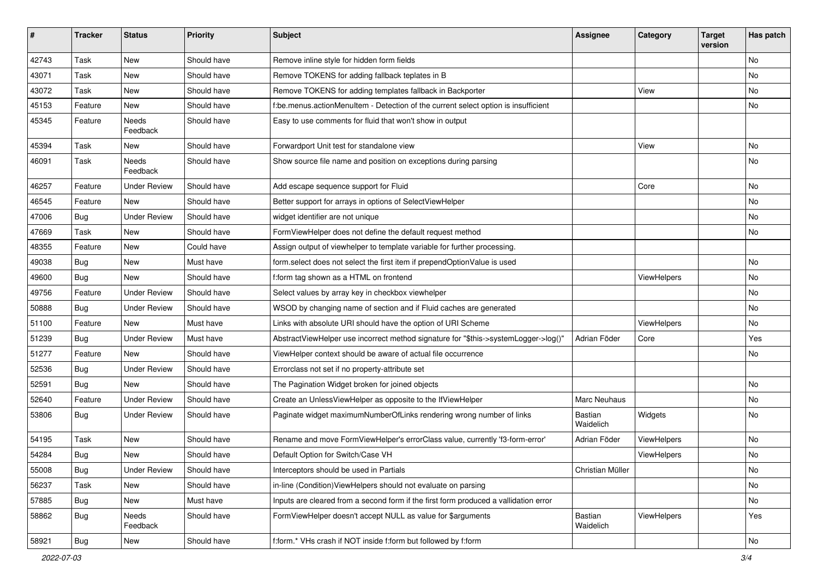| #     | <b>Tracker</b> | <b>Status</b>       | <b>Priority</b> | <b>Subject</b>                                                                       | Assignee             | Category    | <b>Target</b><br>version | Has patch     |
|-------|----------------|---------------------|-----------------|--------------------------------------------------------------------------------------|----------------------|-------------|--------------------------|---------------|
| 42743 | Task           | New                 | Should have     | Remove inline style for hidden form fields                                           |                      |             |                          | <b>No</b>     |
| 43071 | Task           | New                 | Should have     | Remove TOKENS for adding fallback teplates in B                                      |                      |             |                          | No            |
| 43072 | Task           | New                 | Should have     | Remove TOKENS for adding templates fallback in Backporter                            |                      | View        |                          | No            |
| 45153 | Feature        | <b>New</b>          | Should have     | f:be.menus.actionMenuItem - Detection of the current select option is insufficient   |                      |             |                          | No            |
| 45345 | Feature        | Needs<br>Feedback   | Should have     | Easy to use comments for fluid that won't show in output                             |                      |             |                          |               |
| 45394 | Task           | New                 | Should have     | Forwardport Unit test for standalone view                                            |                      | View        |                          | No            |
| 46091 | Task           | Needs<br>Feedback   | Should have     | Show source file name and position on exceptions during parsing                      |                      |             |                          | No            |
| 46257 | Feature        | <b>Under Review</b> | Should have     | Add escape sequence support for Fluid                                                |                      | Core        |                          | No            |
| 46545 | Feature        | New                 | Should have     | Better support for arrays in options of SelectViewHelper                             |                      |             |                          | No            |
| 47006 | Bug            | <b>Under Review</b> | Should have     | widget identifier are not unique                                                     |                      |             |                          | No            |
| 47669 | Task           | New                 | Should have     | FormViewHelper does not define the default request method                            |                      |             |                          | No            |
| 48355 | Feature        | New                 | Could have      | Assign output of viewhelper to template variable for further processing.             |                      |             |                          |               |
| 49038 | <b>Bug</b>     | New                 | Must have       | form.select does not select the first item if prependOptionValue is used             |                      |             |                          | No            |
| 49600 | Bug            | <b>New</b>          | Should have     | f:form tag shown as a HTML on frontend                                               |                      | ViewHelpers |                          | No            |
| 49756 | Feature        | <b>Under Review</b> | Should have     | Select values by array key in checkbox viewhelper                                    |                      |             |                          | No            |
| 50888 | Bug            | <b>Under Review</b> | Should have     | WSOD by changing name of section and if Fluid caches are generated                   |                      |             |                          | No            |
| 51100 | Feature        | <b>New</b>          | Must have       | Links with absolute URI should have the option of URI Scheme                         |                      | ViewHelpers |                          | No            |
| 51239 | Bug            | <b>Under Review</b> | Must have       | AbstractViewHelper use incorrect method signature for "\$this->systemLogger->log()"  | Adrian Föder         | Core        |                          | Yes           |
| 51277 | Feature        | <b>New</b>          | Should have     | ViewHelper context should be aware of actual file occurrence                         |                      |             |                          | No            |
| 52536 | Bug            | <b>Under Review</b> | Should have     | Errorclass not set if no property-attribute set                                      |                      |             |                          |               |
| 52591 | Bug            | New                 | Should have     | The Pagination Widget broken for joined objects                                      |                      |             |                          | No            |
| 52640 | Feature        | <b>Under Review</b> | Should have     | Create an UnlessViewHelper as opposite to the IfViewHelper                           | Marc Neuhaus         |             |                          | No            |
| 53806 | Bug            | <b>Under Review</b> | Should have     | Paginate widget maximumNumberOfLinks rendering wrong number of links                 | Bastian<br>Waidelich | Widgets     |                          | No            |
| 54195 | Task           | <b>New</b>          | Should have     | Rename and move FormViewHelper's errorClass value, currently 'f3-form-error'         | Adrian Föder         | ViewHelpers |                          | No            |
| 54284 | <b>Bug</b>     | New                 | Should have     | Default Option for Switch/Case VH                                                    |                      | ViewHelpers |                          | No            |
| 55008 | <b>Bug</b>     | <b>Under Review</b> | Should have     | Interceptors should be used in Partials                                              | Christian Müller     |             |                          | No            |
| 56237 | Task           | New                 | Should have     | in-line (Condition) View Helpers should not evaluate on parsing                      |                      |             |                          | No            |
| 57885 | <b>Bug</b>     | New                 | Must have       | Inputs are cleared from a second form if the first form produced a vallidation error |                      |             |                          | No            |
| 58862 | Bug            | Needs<br>Feedback   | Should have     | FormViewHelper doesn't accept NULL as value for \$arguments                          | Bastian<br>Waidelich | ViewHelpers |                          | Yes           |
| 58921 | <b>Bug</b>     | New                 | Should have     | f:form.* VHs crash if NOT inside f:form but followed by f:form                       |                      |             |                          | $\mathsf{No}$ |